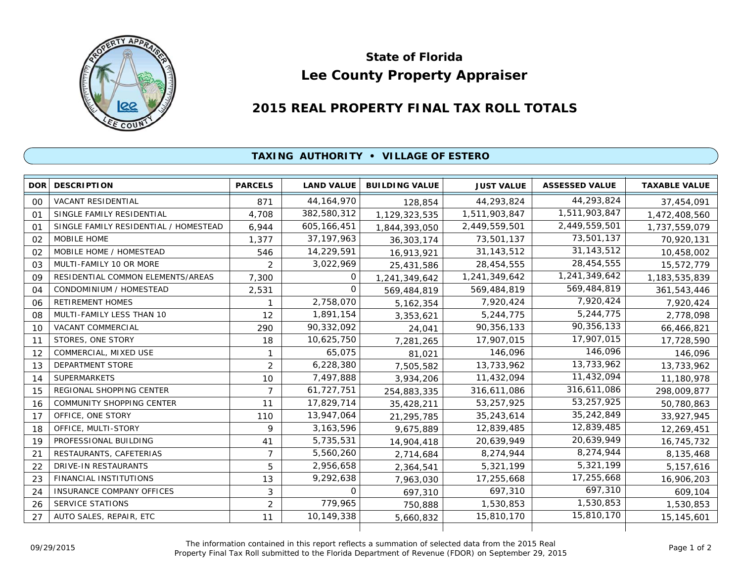

## **Lee County Property Appraiser State of Florida**

## **2015 REAL PROPERTY FINAL TAX ROLL TOTALS**

## **TAXING AUTHORITY • VILLAGE OF ESTERO**

| <b>DOR</b>     | <b>DESCRIPTION</b>                    | <b>PARCELS</b> | <b>LAND VALUE</b> | <b>BUILDING VALUE</b> | <b>JUST VALUE</b> | <b>ASSESSED VALUE</b> | <b>TAXABLE VALUE</b> |
|----------------|---------------------------------------|----------------|-------------------|-----------------------|-------------------|-----------------------|----------------------|
| 00             | <b>VACANT RESIDENTIAL</b>             | 871            | 44, 164, 970      | 128,854               | 44,293,824        | 44,293,824            | 37,454,091           |
| 01             | SINGLE FAMILY RESIDENTIAL             | 4,708          | 382,580,312       | 1,129,323,535         | 1,511,903,847     | 1,511,903,847         | 1,472,408,560        |
| O <sub>1</sub> | SINGLE FAMILY RESIDENTIAL / HOMESTEAD | 6,944          | 605, 166, 451     | 1,844,393,050         | 2,449,559,501     | 2,449,559,501         | 1,737,559,079        |
| 02             | MOBILE HOME                           | 1,377          | 37, 197, 963      | 36, 303, 174          | 73,501,137        | 73,501,137            | 70,920,131           |
| 02             | MOBILE HOME / HOMESTEAD               | 546            | 14,229,591        | 16,913,921            | 31, 143, 512      | 31, 143, 512          | 10,458,002           |
| 03             | MULTI-FAMILY 10 OR MORE               | 2              | 3,022,969         | 25,431,586            | 28,454,555        | 28,454,555            | 15,572,779           |
| 09             | RESIDENTIAL COMMON ELEMENTS/AREAS     | 7,300          | 0                 | 1,241,349,642         | 1,241,349,642     | 1,241,349,642         | 1,183,535,839        |
| 04             | CONDOMINIUM / HOMESTEAD               | 2,531          | $\Omega$          | 569,484,819           | 569,484,819       | 569,484,819           | 361,543,446          |
| 06             | <b>RETIREMENT HOMES</b>               |                | 2,758,070         | 5, 162, 354           | 7,920,424         | 7,920,424             | 7,920,424            |
| 08             | MULTI-FAMILY LESS THAN 10             | 12             | 1,891,154         | 3,353,621             | 5,244,775         | 5,244,775             | 2,778,098            |
| 10             | <b>VACANT COMMERCIAL</b>              | 290            | 90,332,092        | 24,041                | 90,356,133        | 90,356,133            | 66,466,821           |
| 11             | STORES, ONE STORY                     | 18             | 10,625,750        | 7,281,265             | 17,907,015        | 17,907,015            | 17,728,590           |
| 12             | COMMERCIAL, MIXED USE                 | 1              | 65,075            | 81,021                | 146,096           | 146,096               | 146,096              |
| 13             | <b>DEPARTMENT STORE</b>               | $\overline{2}$ | 6,228,380         | 7,505,582             | 13,733,962        | 13,733,962            | 13,733,962           |
| 14             | <b>SUPERMARKETS</b>                   | 10             | 7,497,888         | 3,934,206             | 11,432,094        | 11,432,094            | 11,180,978           |
| 15             | REGIONAL SHOPPING CENTER              | $\overline{7}$ | 61,727,751        | 254,883,335           | 316,611,086       | 316,611,086           | 298,009,877          |
| 16             | <b>COMMUNITY SHOPPING CENTER</b>      | 11             | 17,829,714        | 35,428,211            | 53,257,925        | 53,257,925            | 50,780,863           |
| 17             | OFFICE, ONE STORY                     | 110            | 13,947,064        | 21,295,785            | 35,243,614        | 35,242,849            | 33,927,945           |
| 18             | OFFICE, MULTI-STORY                   | 9              | 3, 163, 596       | 9,675,889             | 12,839,485        | 12,839,485            | 12,269,451           |
| 19             | PROFESSIONAL BUILDING                 | 41             | 5,735,531         | 14,904,418            | 20,639,949        | 20,639,949            | 16,745,732           |
| 21             | RESTAURANTS, CAFETERIAS               | $\overline{7}$ | 5,560,260         | 2,714,684             | 8,274,944         | 8,274,944             | 8,135,468            |
| 22             | DRIVE-IN RESTAURANTS                  | 5              | 2,956,658         | 2,364,541             | 5,321,199         | 5,321,199             | 5,157,616            |
| 23             | FINANCIAL INSTITUTIONS                | 13             | 9,292,638         | 7,963,030             | 17,255,668        | 17,255,668            | 16,906,203           |
| 24             | <b>INSURANCE COMPANY OFFICES</b>      | 3              | $\Omega$          | 697,310               | 697,310           | 697,310               | 609,104              |
| 26             | <b>SERVICE STATIONS</b>               | $\overline{2}$ | 779,965           | 750,888               | 1,530,853         | 1,530,853             | 1,530,853            |
| 27             | AUTO SALES, REPAIR, ETC               | 11             | 10,149,338        | 5,660,832             | 15,810,170        | 15,810,170            | 15,145,601           |
|                |                                       |                |                   |                       |                   |                       |                      |

The information contained in this report reflects a summation of selected data from the 2015 Real Ine information contained in this report reflects a summation of selected data from the 2015 Real<br>Property Final Tax Roll submitted to the Florida Department of Revenue (FDOR) on September 29, 2015